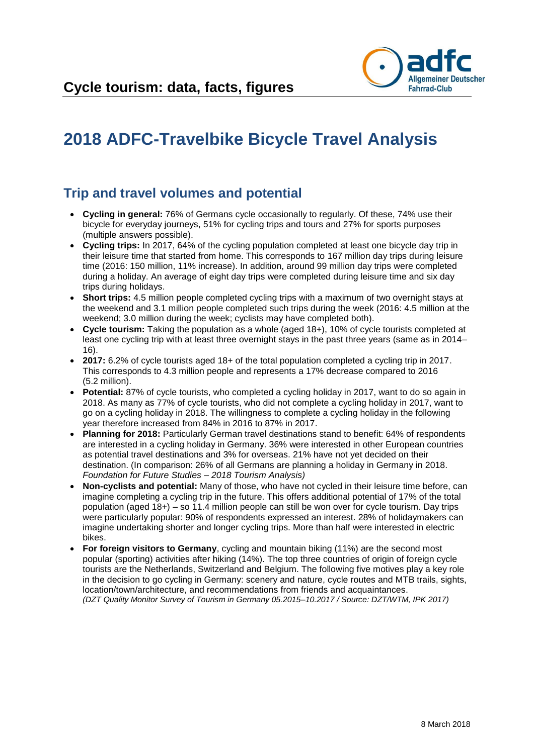

# **2018 ADFC-Travelbike Bicycle Travel Analysis**

### **Trip and travel volumes and potential**

- **Cycling in general:** 76% of Germans cycle occasionally to regularly. Of these, 74% use their bicycle for everyday journeys, 51% for cycling trips and tours and 27% for sports purposes (multiple answers possible).
- **Cycling trips:** In 2017, 64% of the cycling population completed at least one bicycle day trip in their leisure time that started from home. This corresponds to 167 million day trips during leisure time (2016: 150 million, 11% increase). In addition, around 99 million day trips were completed during a holiday. An average of eight day trips were completed during leisure time and six day trips during holidays.
- **Short trips:** 4.5 million people completed cycling trips with a maximum of two overnight stays at the weekend and 3.1 million people completed such trips during the week (2016: 4.5 million at the weekend; 3.0 million during the week; cyclists may have completed both).
- **Cycle tourism:** Taking the population as a whole (aged 18+), 10% of cycle tourists completed at least one cycling trip with at least three overnight stays in the past three years (same as in 2014– 16).
- **2017:** 6.2% of cycle tourists aged 18+ of the total population completed a cycling trip in 2017. This corresponds to 4.3 million people and represents a 17% decrease compared to 2016 (5.2 million).
- **Potential:** 87% of cycle tourists, who completed a cycling holiday in 2017, want to do so again in 2018. As many as 77% of cycle tourists, who did not complete a cycling holiday in 2017, want to go on a cycling holiday in 2018. The willingness to complete a cycling holiday in the following year therefore increased from 84% in 2016 to 87% in 2017.
- **Planning for 2018:** Particularly German travel destinations stand to benefit: 64% of respondents are interested in a cycling holiday in Germany. 36% were interested in other European countries as potential travel destinations and 3% for overseas. 21% have not yet decided on their destination. (In comparison: 26% of all Germans are planning a holiday in Germany in 2018. *Foundation for Future Studies – 2018 Tourism Analysis)*
- **Non-cyclists and potential:** Many of those, who have not cycled in their leisure time before, can imagine completing a cycling trip in the future. This offers additional potential of 17% of the total population (aged 18+) – so 11.4 million people can still be won over for cycle tourism. Day trips were particularly popular: 90% of respondents expressed an interest. 28% of holidaymakers can imagine undertaking shorter and longer cycling trips. More than half were interested in electric bikes.
- **For foreign visitors to Germany**, cycling and mountain biking (11%) are the second most popular (sporting) activities after hiking (14%). The top three countries of origin of foreign cycle tourists are the Netherlands, Switzerland and Belgium. The following five motives play a key role in the decision to go cycling in Germany: scenery and nature, cycle routes and MTB trails, sights, location/town/architecture, and recommendations from friends and acquaintances. *(DZT Quality Monitor Survey of Tourism in Germany 05.2015–10.2017 / Source: DZT/WTM, IPK 2017)*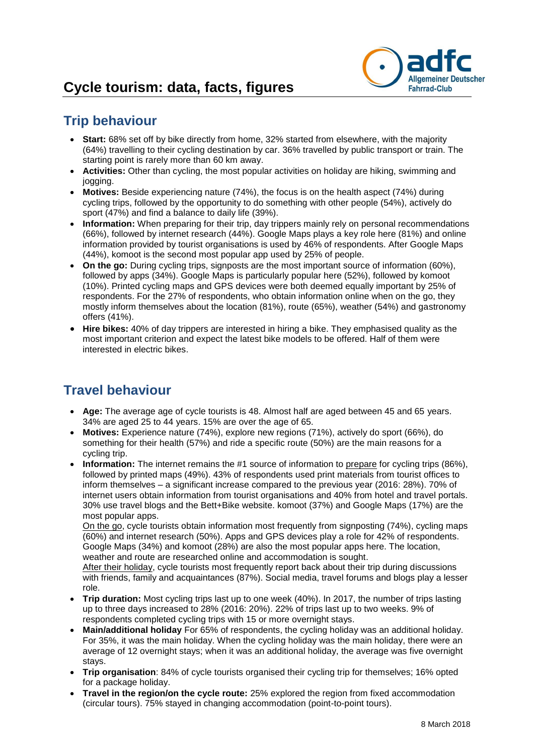

# **Trip behaviour**

- **Start:** 68% set off by bike directly from home, 32% started from elsewhere, with the majority (64%) travelling to their cycling destination by car. 36% travelled by public transport or train. The starting point is rarely more than 60 km away.
- **Activities:** Other than cycling, the most popular activities on holiday are hiking, swimming and jogging.
- **Motives:** Beside experiencing nature (74%), the focus is on the health aspect (74%) during cycling trips, followed by the opportunity to do something with other people (54%), actively do sport (47%) and find a balance to daily life (39%).
- **Information:** When preparing for their trip, day trippers mainly rely on personal recommendations (66%), followed by internet research (44%). Google Maps plays a key role here (81%) and online information provided by tourist organisations is used by 46% of respondents. After Google Maps (44%), komoot is the second most popular app used by 25% of people.
- **On the go:** During cycling trips, signposts are the most important source of information (60%), followed by apps (34%). Google Maps is particularly popular here (52%), followed by komoot (10%). Printed cycling maps and GPS devices were both deemed equally important by 25% of respondents. For the 27% of respondents, who obtain information online when on the go, they mostly inform themselves about the location (81%), route (65%), weather (54%) and gastronomy offers (41%).
- **Hire bikes:** 40% of day trippers are interested in hiring a bike. They emphasised quality as the most important criterion and expect the latest bike models to be offered. Half of them were interested in electric bikes.

# **Travel behaviour**

- **Age:** The average age of cycle tourists is 48. Almost half are aged between 45 and 65 years. 34% are aged 25 to 44 years. 15% are over the age of 65.
- **Motives:** Experience nature (74%), explore new regions (71%), actively do sport (66%), do something for their health (57%) and ride a specific route (50%) are the main reasons for a cycling trip.
- **Information:** The internet remains the #1 source of information to prepare for cycling trips (86%), followed by printed maps (49%). 43% of respondents used print materials from tourist offices to inform themselves – a significant increase compared to the previous year (2016: 28%). 70% of internet users obtain information from tourist organisations and 40% from hotel and travel portals. 30% use travel blogs and the Bett+Bike website. komoot (37%) and Google Maps (17%) are the most popular apps.

On the go, cycle tourists obtain information most frequently from signposting (74%), cycling maps (60%) and internet research (50%). Apps and GPS devices play a role for 42% of respondents. Google Maps (34%) and komoot (28%) are also the most popular apps here. The location, weather and route are researched online and accommodation is sought.

After their holiday, cycle tourists most frequently report back about their trip during discussions with friends, family and acquaintances (87%). Social media, travel forums and blogs play a lesser role.

- **Trip duration:** Most cycling trips last up to one week (40%). In 2017, the number of trips lasting up to three days increased to 28% (2016: 20%). 22% of trips last up to two weeks. 9% of respondents completed cycling trips with 15 or more overnight stays.
- **Main/additional holiday** For 65% of respondents, the cycling holiday was an additional holiday. For 35%, it was the main holiday. When the cycling holiday was the main holiday, there were an average of 12 overnight stays; when it was an additional holiday, the average was five overnight stays.
- **Trip organisation**: 84% of cycle tourists organised their cycling trip for themselves; 16% opted for a package holiday.
- **Travel in the region/on the cycle route:** 25% explored the region from fixed accommodation (circular tours). 75% stayed in changing accommodation (point-to-point tours).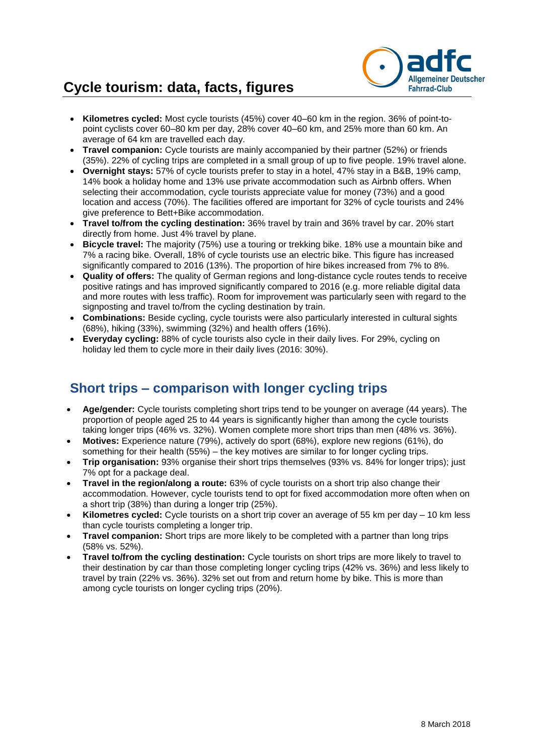# **Cycle tourism: data, facts, figures**



- **Kilometres cycled:** Most cycle tourists (45%) cover 40–60 km in the region. 36% of point-topoint cyclists cover 60–80 km per day, 28% cover 40–60 km, and 25% more than 60 km. An average of 64 km are travelled each day.
- **Travel companion:** Cycle tourists are mainly accompanied by their partner (52%) or friends (35%). 22% of cycling trips are completed in a small group of up to five people. 19% travel alone.
- **Overnight stays:** 57% of cycle tourists prefer to stay in a hotel, 47% stay in a B&B, 19% camp, 14% book a holiday home and 13% use private accommodation such as Airbnb offers. When selecting their accommodation, cycle tourists appreciate value for money (73%) and a good location and access (70%). The facilities offered are important for 32% of cycle tourists and 24% give preference to Bett+Bike accommodation.
- **Travel to/from the cycling destination:** 36% travel by train and 36% travel by car. 20% start directly from home. Just 4% travel by plane.
- **Bicycle travel:** The majority (75%) use a touring or trekking bike. 18% use a mountain bike and 7% a racing bike. Overall, 18% of cycle tourists use an electric bike. This figure has increased significantly compared to 2016 (13%). The proportion of hire bikes increased from 7% to 8%.
- **Quality of offers:** The quality of German regions and long-distance cycle routes tends to receive positive ratings and has improved significantly compared to 2016 (e.g. more reliable digital data and more routes with less traffic). Room for improvement was particularly seen with regard to the signposting and travel to/from the cycling destination by train.
- **Combinations:** Beside cycling, cycle tourists were also particularly interested in cultural sights (68%), hiking (33%), swimming (32%) and health offers (16%).
- **Everyday cycling:** 88% of cycle tourists also cycle in their daily lives. For 29%, cycling on holiday led them to cycle more in their daily lives (2016: 30%).

### **Short trips – comparison with longer cycling trips**

- **Age/gender:** Cycle tourists completing short trips tend to be younger on average (44 years). The proportion of people aged 25 to 44 years is significantly higher than among the cycle tourists taking longer trips (46% vs. 32%). Women complete more short trips than men (48% vs. 36%).
- **Motives:** Experience nature (79%), actively do sport (68%), explore new regions (61%), do something for their health (55%) – the key motives are similar to for longer cycling trips.
- **Trip organisation:** 93% organise their short trips themselves (93% vs. 84% for longer trips); just 7% opt for a package deal.
- **Travel in the region/along a route:** 63% of cycle tourists on a short trip also change their accommodation. However, cycle tourists tend to opt for fixed accommodation more often when on a short trip (38%) than during a longer trip (25%).
- **Kilometres cycled:** Cycle tourists on a short trip cover an average of 55 km per day 10 km less than cycle tourists completing a longer trip.
- **Travel companion:** Short trips are more likely to be completed with a partner than long trips (58% vs. 52%).
- **Travel to/from the cycling destination:** Cycle tourists on short trips are more likely to travel to their destination by car than those completing longer cycling trips (42% vs. 36%) and less likely to travel by train (22% vs. 36%). 32% set out from and return home by bike. This is more than among cycle tourists on longer cycling trips (20%).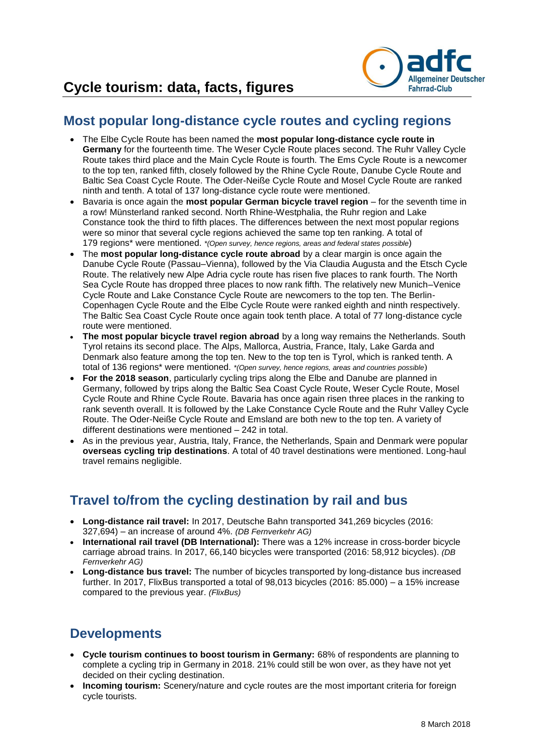

#### **Most popular long-distance cycle routes and cycling regions**

- The Elbe Cycle Route has been named the **most popular long-distance cycle route in Germany** for the fourteenth time. The Weser Cycle Route places second. The Ruhr Valley Cycle Route takes third place and the Main Cycle Route is fourth. The Ems Cycle Route is a newcomer to the top ten, ranked fifth, closely followed by the Rhine Cycle Route, Danube Cycle Route and Baltic Sea Coast Cycle Route. The Oder-Neiße Cycle Route and Mosel Cycle Route are ranked ninth and tenth. A total of 137 long-distance cycle route were mentioned.
- Bavaria is once again the **most popular German bicycle travel region** for the seventh time in a row! Münsterland ranked second. North Rhine-Westphalia, the Ruhr region and Lake Constance took the third to fifth places. The differences between the next most popular regions were so minor that several cycle regions achieved the same top ten ranking. A total of 179 regions\* were mentioned. *\*(Open survey, hence regions, areas and federal states possible*)
- The **most popular long-distance cycle route abroad** by a clear margin is once again the Danube Cycle Route (Passau–Vienna), followed by the Via Claudia Augusta and the Etsch Cycle Route. The relatively new Alpe Adria cycle route has risen five places to rank fourth. The North Sea Cycle Route has dropped three places to now rank fifth. The relatively new Munich–Venice Cycle Route and Lake Constance Cycle Route are newcomers to the top ten. The Berlin-Copenhagen Cycle Route and the Elbe Cycle Route were ranked eighth and ninth respectively. The Baltic Sea Coast Cycle Route once again took tenth place. A total of 77 long-distance cycle route were mentioned.
- **The most popular bicycle travel region abroad** by a long way remains the Netherlands. South Tyrol retains its second place. The Alps, Mallorca, Austria, France, Italy, Lake Garda and Denmark also feature among the top ten. New to the top ten is Tyrol, which is ranked tenth. A total of 136 regions\* were mentioned. *\*(Open survey, hence regions, areas and countries possible*)
- **For the 2018 season**, particularly cycling trips along the Elbe and Danube are planned in Germany, followed by trips along the Baltic Sea Coast Cycle Route, Weser Cycle Route, Mosel Cycle Route and Rhine Cycle Route. Bavaria has once again risen three places in the ranking to rank seventh overall. It is followed by the Lake Constance Cycle Route and the Ruhr Valley Cycle Route. The Oder-Neiße Cycle Route and Emsland are both new to the top ten. A variety of different destinations were mentioned – 242 in total.
- As in the previous year, Austria, Italy, France, the Netherlands, Spain and Denmark were popular **overseas cycling trip destinations**. A total of 40 travel destinations were mentioned. Long-haul travel remains negligible.

#### **Travel to/from the cycling destination by rail and bus**

- **Long-distance rail travel:** In 2017, Deutsche Bahn transported 341,269 bicycles (2016: 327,694) – an increase of around 4%. *(DB Fernverkehr AG)*
- **International rail travel (DB International):** There was a 12% increase in cross-border bicycle carriage abroad trains. In 2017, 66,140 bicycles were transported (2016: 58,912 bicycles). *(DB Fernverkehr AG)*
- **Long-distance bus travel:** The number of bicycles transported by long-distance bus increased further. In 2017, FlixBus transported a total of 98,013 bicycles (2016: 85.000) – a 15% increase compared to the previous year. *(FlixBus)*

# **Developments**

- **Cycle tourism continues to boost tourism in Germany:** 68% of respondents are planning to complete a cycling trip in Germany in 2018. 21% could still be won over, as they have not yet decided on their cycling destination.
- **Incoming tourism:** Scenery/nature and cycle routes are the most important criteria for foreign cycle tourists.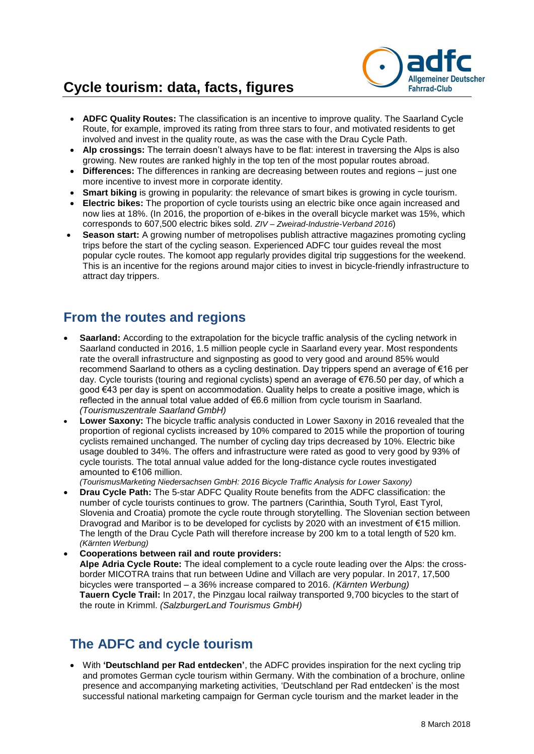# **Cycle tourism: data, facts, figures**



- **ADFC Quality Routes:** The classification is an incentive to improve quality. The Saarland Cycle Route, for example, improved its rating from three stars to four, and motivated residents to get involved and invest in the quality route, as was the case with the Drau Cycle Path.
- **Alp crossings:** The terrain doesn't always have to be flat: interest in traversing the Alps is also growing. New routes are ranked highly in the top ten of the most popular routes abroad.
- **Differences:** The differences in ranking are decreasing between routes and regions just one more incentive to invest more in corporate identity.
- **Smart biking** is growing in popularity: the relevance of smart bikes is growing in cycle tourism.
- **Electric bikes:** The proportion of cycle tourists using an electric bike once again increased and now lies at 18%. (In 2016, the proportion of e-bikes in the overall bicycle market was 15%, which corresponds to 607,500 electric bikes sold. *ZIV – Zweirad-Industrie-Verband 2016*)
- **Season start:** A growing number of metropolises publish attractive magazines promoting cycling trips before the start of the cycling season. Experienced ADFC tour guides reveal the most popular cycle routes. The komoot app regularly provides digital trip suggestions for the weekend. This is an incentive for the regions around major cities to invest in bicycle-friendly infrastructure to attract day trippers.

#### **From the routes and regions**

- **Saarland:** According to the extrapolation for the bicycle traffic analysis of the cycling network in Saarland conducted in 2016, 1.5 million people cycle in Saarland every year. Most respondents rate the overall infrastructure and signposting as good to very good and around 85% would recommend Saarland to others as a cycling destination. Day trippers spend an average of €16 per day. Cycle tourists (touring and regional cyclists) spend an average of €76.50 per day, of which a good €43 per day is spent on accommodation. Quality helps to create a positive image, which is reflected in the annual total value added of €6.6 million from cycle tourism in Saarland. *(Tourismuszentrale Saarland GmbH)*
- **Lower Saxony:** The bicycle traffic analysis conducted in Lower Saxony in 2016 revealed that the proportion of regional cyclists increased by 10% compared to 2015 while the proportion of touring cyclists remained unchanged. The number of cycling day trips decreased by 10%. Electric bike usage doubled to 34%. The offers and infrastructure were rated as good to very good by 93% of cycle tourists. The total annual value added for the long-distance cycle routes investigated amounted to €106 million.

*(TourismusMarketing Niedersachsen GmbH: 2016 Bicycle Traffic Analysis for Lower Saxony)*

- **Drau Cycle Path:** The 5-star ADFC Quality Route benefits from the ADFC classification: the number of cycle tourists continues to grow. The partners (Carinthia, South Tyrol, East Tyrol, Slovenia and Croatia) promote the cycle route through storytelling. The Slovenian section between Dravograd and Maribor is to be developed for cyclists by 2020 with an investment of €15 million. The length of the Drau Cycle Path will therefore increase by 200 km to a total length of 520 km. *(Kärnten Werbung)*
- **Cooperations between rail and route providers: Alpe Adria Cycle Route:** The ideal complement to a cycle route leading over the Alps: the crossborder MICOTRA trains that run between Udine and Villach are very popular. In 2017, 17,500 bicycles were transported – a 36% increase compared to 2016. *(Kärnten Werbung)* **Tauern Cycle Trail:** In 2017, the Pinzgau local railway transported 9,700 bicycles to the start of the route in Krimml. *(SalzburgerLand Tourismus GmbH)*

#### **The ADFC and cycle tourism**

 With **'Deutschland per Rad entdecken'**, the ADFC provides inspiration for the next cycling trip and promotes German cycle tourism within Germany. With the combination of a brochure, online presence and accompanying marketing activities, 'Deutschland per Rad entdecken' is the most successful national marketing campaign for German cycle tourism and the market leader in the